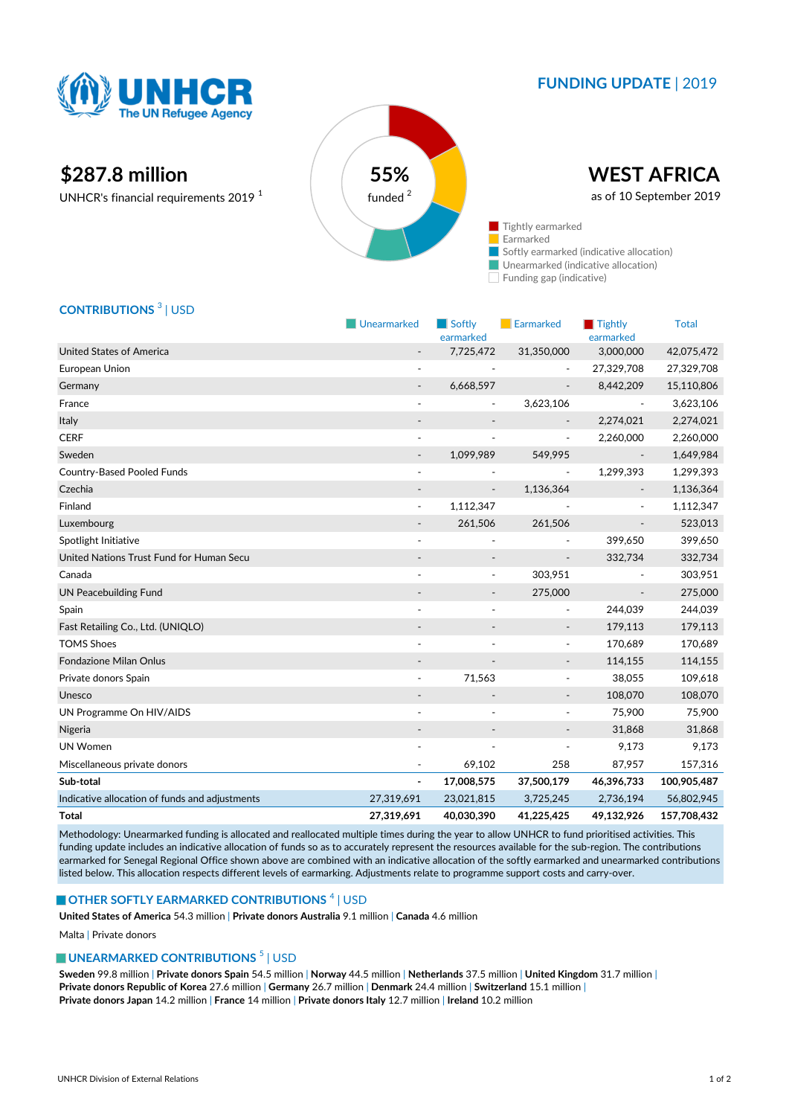

## **FUNDING UPDATE** | 2019

# **\$287.8 million 55%**

UNHCR's financial requirements 2019 <sup>1</sup>



Funding gap (indicative)

### **CONTRIBUTIONS** <sup>3</sup> | USD

|                                                | Unearmarked              | Softly<br>earmarked      | Earmarked                    | Tightly<br>earmarked         | <b>Total</b> |
|------------------------------------------------|--------------------------|--------------------------|------------------------------|------------------------------|--------------|
| <b>United States of America</b>                |                          | 7,725,472                | 31,350,000                   | 3,000,000                    | 42,075,472   |
| European Union                                 | $\sim$                   |                          |                              | 27,329,708                   | 27,329,708   |
| Germany                                        | $\overline{\phantom{a}}$ | 6,668,597                | $\overline{\phantom{a}}$     | 8,442,209                    | 15,110,806   |
| France                                         | ÷,                       | $\overline{\phantom{a}}$ | 3,623,106                    | $\overline{\phantom{a}}$     | 3,623,106    |
| Italy                                          |                          |                          |                              | 2,274,021                    | 2,274,021    |
| <b>CERF</b>                                    | $\overline{\phantom{a}}$ |                          | $\overline{\phantom{a}}$     | 2,260,000                    | 2,260,000    |
| Sweden                                         | $\overline{\phantom{a}}$ | 1,099,989                | 549,995                      |                              | 1,649,984    |
| Country-Based Pooled Funds                     | $\overline{\phantom{a}}$ |                          | $\overline{\phantom{a}}$     | 1,299,393                    | 1,299,393    |
| Czechia                                        |                          |                          | 1,136,364                    |                              | 1,136,364    |
| Finland                                        |                          | 1,112,347                |                              |                              | 1,112,347    |
| Luxembourg                                     |                          | 261,506                  | 261,506                      | $\qquad \qquad \blacksquare$ | 523,013      |
| Spotlight Initiative                           | $\overline{\phantom{a}}$ |                          |                              | 399,650                      | 399,650      |
| United Nations Trust Fund for Human Secu       |                          |                          | $\centerdot$                 | 332,734                      | 332,734      |
| Canada                                         |                          | $\overline{\phantom{a}}$ | 303,951                      |                              | 303,951      |
| <b>UN Peacebuilding Fund</b>                   | $\overline{\phantom{a}}$ | $\overline{\phantom{a}}$ | 275,000                      | $\overline{\phantom{a}}$     | 275,000      |
| Spain                                          |                          |                          | $\overline{\phantom{a}}$     | 244,039                      | 244,039      |
| Fast Retailing Co., Ltd. (UNIQLO)              |                          |                          | $\overline{\phantom{a}}$     | 179,113                      | 179,113      |
| <b>TOMS Shoes</b>                              | $\overline{a}$           |                          | $\overline{\phantom{a}}$     | 170,689                      | 170,689      |
| Fondazione Milan Onlus                         |                          |                          | $\overline{\phantom{a}}$     | 114,155                      | 114,155      |
| Private donors Spain                           |                          | 71,563                   | $\overline{\phantom{a}}$     | 38,055                       | 109,618      |
| Unesco                                         |                          |                          | $\qquad \qquad \blacksquare$ | 108,070                      | 108,070      |
| UN Programme On HIV/AIDS                       | $\blacksquare$           |                          | $\blacksquare$               | 75,900                       | 75,900       |
| Nigeria                                        |                          |                          |                              | 31,868                       | 31,868       |
| <b>UN Women</b>                                |                          |                          |                              | 9,173                        | 9,173        |
| Miscellaneous private donors                   |                          | 69,102                   | 258                          | 87,957                       | 157,316      |
| Sub-total                                      | $\blacksquare$           | 17,008,575               | 37,500,179                   | 46,396,733                   | 100,905,487  |
| Indicative allocation of funds and adjustments | 27,319,691               | 23,021,815               | 3,725,245                    | 2,736,194                    | 56,802,945   |
| <b>Total</b>                                   | 27,319,691               | 40,030,390               | 41,225,425                   | 49,132,926                   | 157,708,432  |

Methodology: Unearmarked funding is allocated and reallocated multiple times during the year to allow UNHCR to fund prioritised activities. This funding update includes an indicative allocation of funds so as to accurately represent the resources available for the sub-region. The contributions earmarked for Senegal Regional Office shown above are combined with an indicative allocation of the softly earmarked and unearmarked contributions listed below. This allocation respects different levels of earmarking. Adjustments relate to programme support costs and carry-over.

#### **OTHER SOFTLY EARMARKED CONTRIBUTIONS**  $^4$  | USD

**United States of America** 54.3 million | **Private donors Australia** 9.1 million | **Canada** 4.6 million

Malta | Private donors

#### **UNEARMARKED CONTRIBUTIONS<sup>5</sup> | USD**

**Sweden** 99.8 million | **Private donors Spain** 54.5 million | **Norway** 44.5 million | **Netherlands** 37.5 million | **United Kingdom** 31.7 million | **Private donors Republic of Korea** 27.6 million | **Germany** 26.7 million | **Denmark** 24.4 million | **Switzerland** 15.1 million | **Private donors Japan** 14.2 million | **France** 14 million | **Private donors Italy** 12.7 million | **Ireland** 10.2 million